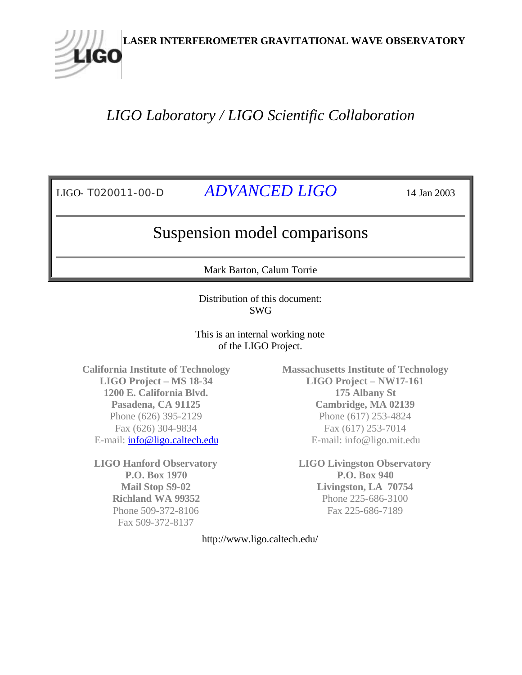# *LIGO Laboratory / LIGO Scientific Collaboration*

LIGO

LIGO- T020011-00-D *ADVANCED LIGO* 14 Jan 2003

# Suspension model comparisons

Mark Barton, Calum Torrie

Distribution of this document: SWG

This is an internal working note of the LIGO Project.

**California Institute of Technology LIGO Project – MS 18-34 1200 E. California Blvd. Pasadena, CA 91125** Phone (626) 395-2129 Fax (626) 304-9834 E-mail: info@ligo.caltech.edu

**LIGO Hanford Observatory P.O. Box 1970 Mail Stop S9-02 Richland WA 99352** Phone 509-372-8106 Fax 509-372-8137

**Massachusetts Institute of Technology LIGO Project – NW17-161 175 Albany St Cambridge, MA 02139** Phone (617) 253-4824 Fax (617) 253-7014 E-mail: info@ligo.mit.edu

**LIGO Livingston Observatory P.O. Box 940 Livingston, LA 70754** Phone 225-686-3100 Fax 225-686-7189

http://www.ligo.caltech.edu/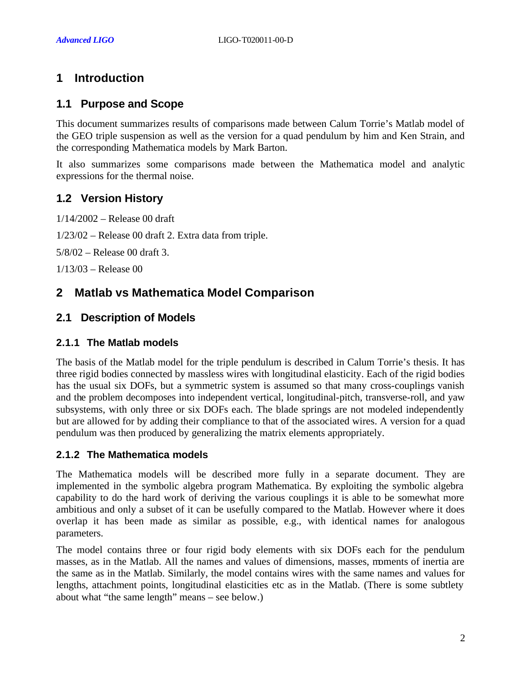# **1 Introduction**

# **1.1 Purpose and Scope**

This document summarizes results of comparisons made between Calum Torrie's Matlab model of the GEO triple suspension as well as the version for a quad pendulum by him and Ken Strain, and the corresponding Mathematica models by Mark Barton.

It also summarizes some comparisons made between the Mathematica model and analytic expressions for the thermal noise.

# **1.2 Version History**

1/14/2002 – Release 00 draft

1/23/02 – Release 00 draft 2. Extra data from triple.

5/8/02 – Release 00 draft 3.

1/13/03 – Release 00

# **2 Matlab vs Mathematica Model Comparison**

# **2.1 Description of Models**

#### **2.1.1 The Matlab models**

The basis of the Matlab model for the triple pendulum is described in Calum Torrie's thesis. It has three rigid bodies connected by massless wires with longitudinal elasticity. Each of the rigid bodies has the usual six DOFs, but a symmetric system is assumed so that many cross-couplings vanish and the problem decomposes into independent vertical, longitudinal-pitch, transverse-roll, and yaw subsystems, with only three or six DOFs each. The blade springs are not modeled independently but are allowed for by adding their compliance to that of the associated wires. A version for a quad pendulum was then produced by generalizing the matrix elements appropriately.

#### **2.1.2 The Mathematica models**

The Mathematica models will be described more fully in a separate document. They are implemented in the symbolic algebra program Mathematica. By exploiting the symbolic algebra capability to do the hard work of deriving the various couplings it is able to be somewhat more ambitious and only a subset of it can be usefully compared to the Matlab. However where it does overlap it has been made as similar as possible, e.g., with identical names for analogous parameters.

The model contains three or four rigid body elements with six DOFs each for the pendulum masses, as in the Matlab. All the names and values of dimensions, masses, moments of inertia are the same as in the Matlab. Similarly, the model contains wires with the same names and values for lengths, attachment points, longitudinal elasticities etc as in the Matlab. (There is some subtlety about what "the same length" means – see below.)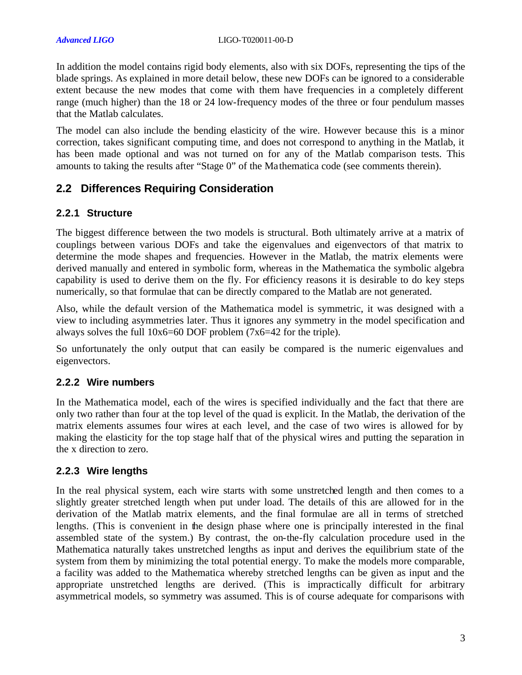In addition the model contains rigid body elements, also with six DOFs, representing the tips of the blade springs. As explained in more detail below, these new DOFs can be ignored to a considerable extent because the new modes that come with them have frequencies in a completely different range (much higher) than the 18 or 24 low-frequency modes of the three or four pendulum masses that the Matlab calculates.

The model can also include the bending elasticity of the wire. However because this is a minor correction, takes significant computing time, and does not correspond to anything in the Matlab, it has been made optional and was not turned on for any of the Matlab comparison tests. This amounts to taking the results after "Stage 0" of the Mathematica code (see comments therein).

# **2.2 Differences Requiring Consideration**

#### **2.2.1 Structure**

The biggest difference between the two models is structural. Both ultimately arrive at a matrix of couplings between various DOFs and take the eigenvalues and eigenvectors of that matrix to determine the mode shapes and frequencies. However in the Matlab, the matrix elements were derived manually and entered in symbolic form, whereas in the Mathematica the symbolic algebra capability is used to derive them on the fly. For efficiency reasons it is desirable to do key steps numerically, so that formulae that can be directly compared to the Matlab are not generated.

Also, while the default version of the Mathematica model is symmetric, it was designed with a view to including asymmetries later. Thus it ignores any symmetry in the model specification and always solves the full 10x6=60 DOF problem (7x6=42 for the triple).

So unfortunately the only output that can easily be compared is the numeric eigenvalues and eigenvectors.

#### **2.2.2 Wire numbers**

In the Mathematica model, each of the wires is specified individually and the fact that there are only two rather than four at the top level of the quad is explicit. In the Matlab, the derivation of the matrix elements assumes four wires at each level, and the case of two wires is allowed for by making the elasticity for the top stage half that of the physical wires and putting the separation in the x direction to zero.

#### **2.2.3 Wire lengths**

In the real physical system, each wire starts with some unstretched length and then comes to a slightly greater stretched length when put under load. The details of this are allowed for in the derivation of the Matlab matrix elements, and the final formulae are all in terms of stretched lengths. (This is convenient in the design phase where one is principally interested in the final assembled state of the system.) By contrast, the on-the-fly calculation procedure used in the Mathematica naturally takes unstretched lengths as input and derives the equilibrium state of the system from them by minimizing the total potential energy. To make the models more comparable, a facility was added to the Mathematica whereby stretched lengths can be given as input and the appropriate unstretched lengths are derived. (This is impractically difficult for arbitrary asymmetrical models, so symmetry was assumed. This is of course adequate for comparisons with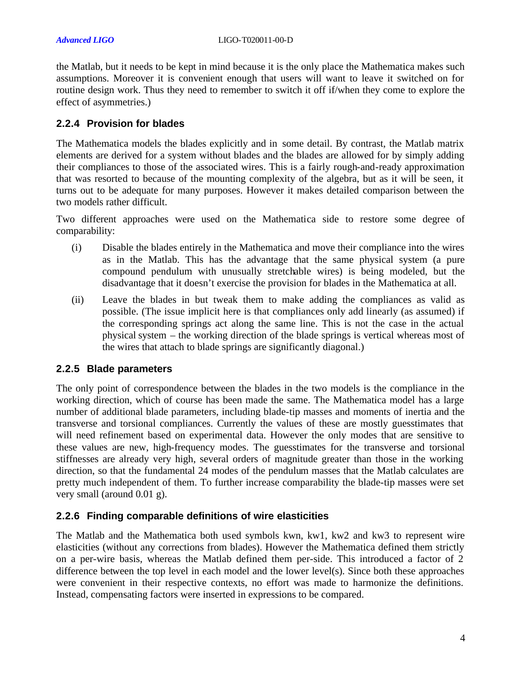the Matlab, but it needs to be kept in mind because it is the only place the Mathematica makes such assumptions. Moreover it is convenient enough that users will want to leave it switched on for routine design work. Thus they need to remember to switch it off if/when they come to explore the effect of asymmetries.)

#### **2.2.4 Provision for blades**

The Mathematica models the blades explicitly and in some detail. By contrast, the Matlab matrix elements are derived for a system without blades and the blades are allowed for by simply adding their compliances to those of the associated wires. This is a fairly rough-and-ready approximation that was resorted to because of the mounting complexity of the algebra, but as it will be seen, it turns out to be adequate for many purposes. However it makes detailed comparison between the two models rather difficult.

Two different approaches were used on the Mathematica side to restore some degree of comparability:

- (i) Disable the blades entirely in the Mathematica and move their compliance into the wires as in the Matlab. This has the advantage that the same physical system (a pure compound pendulum with unusually stretchable wires) is being modeled, but the disadvantage that it doesn't exercise the provision for blades in the Mathematica at all.
- (ii) Leave the blades in but tweak them to make adding the compliances as valid as possible. (The issue implicit here is that compliances only add linearly (as assumed) if the corresponding springs act along the same line. This is not the case in the actual physical system – the working direction of the blade springs is vertical whereas most of the wires that attach to blade springs are significantly diagonal.)

#### **2.2.5 Blade parameters**

The only point of correspondence between the blades in the two models is the compliance in the working direction, which of course has been made the same. The Mathematica model has a large number of additional blade parameters, including blade-tip masses and moments of inertia and the transverse and torsional compliances. Currently the values of these are mostly guesstimates that will need refinement based on experimental data. However the only modes that are sensitive to these values are new, high-frequency modes. The guesstimates for the transverse and torsional stiffnesses are already very high, several orders of magnitude greater than those in the working direction, so that the fundamental 24 modes of the pendulum masses that the Matlab calculates are pretty much independent of them. To further increase comparability the blade-tip masses were set very small (around 0.01 g).

### **2.2.6 Finding comparable definitions of wire elasticities**

The Matlab and the Mathematica both used symbols kwn, kw1, kw2 and kw3 to represent wire elasticities (without any corrections from blades). However the Mathematica defined them strictly on a per-wire basis, whereas the Matlab defined them per-side. This introduced a factor of 2 difference between the top level in each model and the lower level(s). Since both these approaches were convenient in their respective contexts, no effort was made to harmonize the definitions. Instead, compensating factors were inserted in expressions to be compared.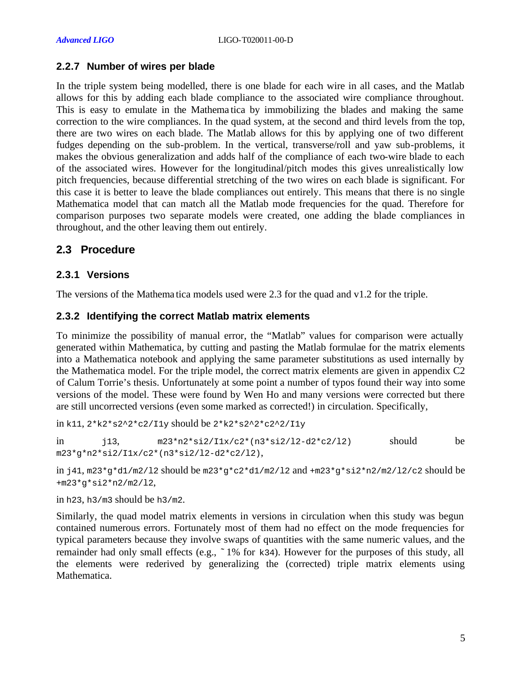#### **2.2.7 Number of wires per blade**

In the triple system being modelled, there is one blade for each wire in all cases, and the Matlab allows for this by adding each blade compliance to the associated wire compliance throughout. This is easy to emulate in the Mathema tica by immobilizing the blades and making the same correction to the wire compliances. In the quad system, at the second and third levels from the top, there are two wires on each blade. The Matlab allows for this by applying one of two different fudges depending on the sub-problem. In the vertical, transverse/roll and yaw sub-problems, it makes the obvious generalization and adds half of the compliance of each two-wire blade to each of the associated wires. However for the longitudinal/pitch modes this gives unrealistically low pitch frequencies, because differential stretching of the two wires on each blade is significant. For this case it is better to leave the blade compliances out entirely. This means that there is no single Mathematica model that can match all the Matlab mode frequencies for the quad. Therefore for comparison purposes two separate models were created, one adding the blade compliances in throughout, and the other leaving them out entirely.

#### **2.3 Procedure**

#### **2.3.1 Versions**

The versions of the Mathema tica models used were 2.3 for the quad and v1.2 for the triple.

#### **2.3.2 Identifying the correct Matlab matrix elements**

To minimize the possibility of manual error, the "Matlab" values for comparison were actually generated within Mathematica, by cutting and pasting the Matlab formulae for the matrix elements into a Mathematica notebook and applying the same parameter substitutions as used internally by the Mathematica model. For the triple model, the correct matrix elements are given in appendix C2 of Calum Torrie's thesis. Unfortunately at some point a number of typos found their way into some versions of the model. These were found by Wen Ho and many versions were corrected but there are still uncorrected versions (even some marked as corrected!) in circulation. Specifically,

```
in k11, 2*k2*s2^2*c2/I1y should be 2*k2*s2^2*c2^2/I1y
```

```
in j13, m23*n2*si2/ILx/c2*(n3*si2/12-d2*c2/12) should be
m23*g*n2*si2/I1x/c2*(n3*si2/l2-d2*c2/l2),
```
in  $j41$ , m23\*q\*d1/m2/l2 should be m23\*q\*c2\*d1/m2/l2 and +m23\*q\*si2\*n2/m2/l2/c2 should be +m23\*g\*si2\*n2/m2/l2,

in h23, h3/m3 should be h3/m2.

Similarly, the quad model matrix elements in versions in circulation when this study was begun contained numerous errors. Fortunately most of them had no effect on the mode frequencies for typical parameters because they involve swaps of quantities with the same numeric values, and the remainder had only small effects (e.g., ~1% for k34). However for the purposes of this study, all the elements were rederived by generalizing the (corrected) triple matrix elements using Mathematica.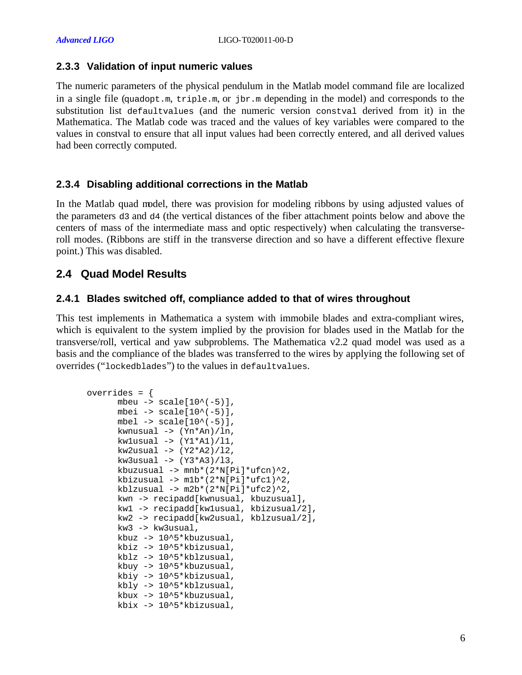#### **2.3.3 Validation of input numeric values**

The numeric parameters of the physical pendulum in the Matlab model command file are localized in a single file (quadopt.m, triple.m, or jbr.m depending in the model) and corresponds to the substitution list defaultvalues (and the numeric version constval derived from it) in the Mathematica. The Matlab code was traced and the values of key variables were compared to the values in constval to ensure that all input values had been correctly entered, and all derived values had been correctly computed.

### **2.3.4 Disabling additional corrections in the Matlab**

In the Matlab quad model, there was provision for modeling ribbons by using adjusted values of the parameters d3 and d4 (the vertical distances of the fiber attachment points below and above the centers of mass of the intermediate mass and optic respectively) when calculating the transverseroll modes. (Ribbons are stiff in the transverse direction and so have a different effective flexure point.) This was disabled.

# **2.4 Quad Model Results**

#### **2.4.1 Blades switched off, compliance added to that of wires throughout**

This test implements in Mathematica a system with immobile blades and extra-compliant wires, which is equivalent to the system implied by the provision for blades used in the Matlab for the transverse/roll, vertical and yaw subproblems. The Mathematica v2.2 quad model was used as a basis and the compliance of the blades was transferred to the wires by applying the following set of overrides ("lockedblades") to the values in defaultvalues.

```
overrides = {
      mbeu \rightarrow scale[10^*(-5)],
      mbei \rightarrow scale[10^{\wedge}(-5)],
      mbel \rightarrow scale[10^{\wedge}(-5)],
      kwnusual -> (Yn*An)/ln, 
      kwlusual \rightarrow (Y1*A1)/11,
      kw2usual \rightarrow (Y2*A2)/12,kw3usual \rightarrow (Y3*A3)/13,
      kbuzusual \rightarrow mnb*(2*N[Pi]*ufcn)^2,
      kbizusual \rightarrow m1b*(2*N[Pi]*ufc1)^2,
      kblzusual \rightarrow m2b*(2*N[Pi]*ufc2)^2,
      kwn -> recipadd[kwnusual, kbuzusual], 
      kw1 -> recipadd[kw1usual, kbizusual/2], 
      kw2 -> recipadd[kw2usual, kblzusual/2], 
      kw3 -> kw3usual, 
      kbuz -> 10^5*kbuzusual, 
      kbiz -> 10^5*kbizusual, 
      kblz -> 10^5*kblzusual, 
      kbuy -> 10^5*kbuzusual, 
      kbiy -> 10^5*kbizusual, 
      kbly -> 10^5*kblzusual, 
      kbux -> 10^5*kbuzusual, 
      kbix -> 10^5*kbizusual,
```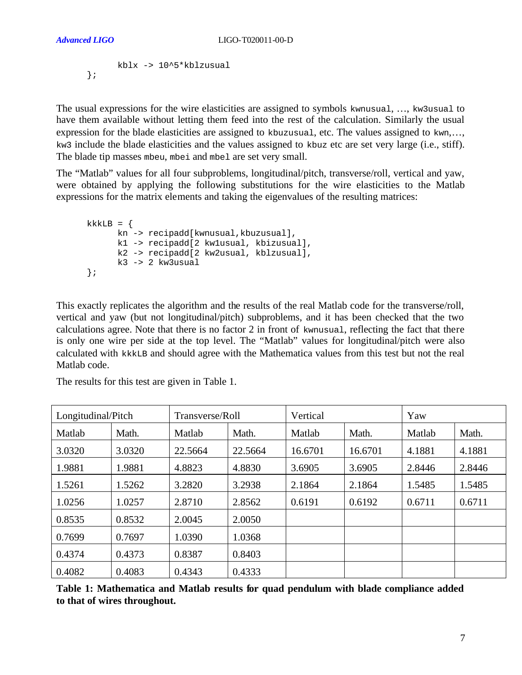```
kblx -> 10^5*kblzusual
};
```
The usual expressions for the wire elasticities are assigned to symbols kwnusual, …, kw3usual to have them available without letting them feed into the rest of the calculation. Similarly the usual expression for the blade elasticities are assigned to kbuzusual, etc. The values assigned to  $k_{\text{w}}$ ,... kw3 include the blade elasticities and the values assigned to kbuz etc are set very large (i.e., stiff). The blade tip masses mbeu, mbei and mbel are set very small.

The "Matlab" values for all four subproblems, longitudinal/pitch, transverse/roll, vertical and yaw, were obtained by applying the following substitutions for the wire elasticities to the Matlab expressions for the matrix elements and taking the eigenvalues of the resulting matrices:

```
kkKB = \{kn -> recipadd[kwnusual,kbuzusual],
      k1 -> recipadd[2 kw1usual, kbizusual],
      k2 -> recipadd[2 kw2usual, kblzusual],
      k3 -> 2 kw3usual
};
```
This exactly replicates the algorithm and the results of the real Matlab code for the transverse/roll, vertical and yaw (but not longitudinal/pitch) subproblems, and it has been checked that the two calculations agree. Note that there is no factor 2 in front of kwnusual, reflecting the fact that there is only one wire per side at the top level. The "Matlab" values for longitudinal/pitch were also calculated with kkkLB and should agree with the Mathematica values from this test but not the real Matlab code.

| Longitudinal/Pitch |        | Transverse/Roll |         | Vertical |         | Yaw    |        |
|--------------------|--------|-----------------|---------|----------|---------|--------|--------|
| Matlab             | Math.  | Matlab          | Math.   | Matlab   | Math.   | Matlab | Math.  |
| 3.0320             | 3.0320 | 22.5664         | 22.5664 | 16.6701  | 16.6701 | 4.1881 | 4.1881 |
| 1.9881             | 1.9881 | 4.8823          | 4.8830  | 3.6905   | 3.6905  | 2.8446 | 2.8446 |
| 1.5261             | 1.5262 | 3.2820          | 3.2938  | 2.1864   | 2.1864  | 1.5485 | 1.5485 |
| 1.0256             | 1.0257 | 2.8710          | 2.8562  | 0.6191   | 0.6192  | 0.6711 | 0.6711 |
| 0.8535             | 0.8532 | 2.0045          | 2.0050  |          |         |        |        |
| 0.7699             | 0.7697 | 1.0390          | 1.0368  |          |         |        |        |
| 0.4374             | 0.4373 | 0.8387          | 0.8403  |          |         |        |        |
| 0.4082             | 0.4083 | 0.4343          | 0.4333  |          |         |        |        |

The results for this test are given in Table 1.

**Table 1: Mathematica and Matlab results for quad pendulum with blade compliance added to that of wires throughout.**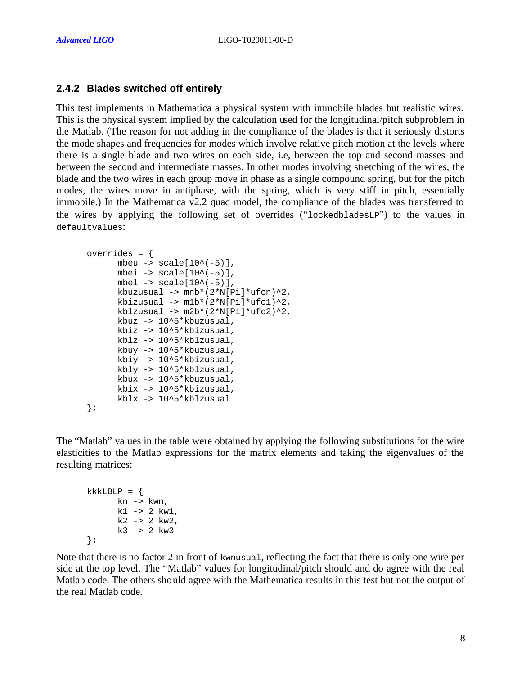#### **2.4.2 Blades switched off entirely**

This test implements in Mathematica a physical system with immobile blades but realistic wires. This is the physical system implied by the calculation used for the longitudinal/pitch subproblem in the Matlab. (The reason for not adding in the compliance of the blades is that it seriously distorts the mode shapes and frequencies for modes which involve relative pitch motion at the levels where there is a single blade and two wires on each side, i.e, between the top and second masses and between the second and intermediate masses. In other modes involving stretching of the wires, the blade and the two wires in each group move in phase as a single compound spring, but for the pitch modes, the wires move in antiphase, with the spring, which is very stiff in pitch, essentially immobile.) In the Mathematica v2.2 quad model, the compliance of the blades was transferred to the wires by applying the following set of overrides ("lockedbladesLP") to the values in defaultvalues:

```
overrides = {
       mbeu \rightarrow scale[10^{\wedge}(-5)],
       mbei \rightarrow scale[10^{\wedge}(-5)],
       mbel \text{-} scale[10^(-5)],
       kbuzusual \rightarrow mnb*(2*N[Pi]*ufcn)^2,
       kbizusual -> m1b*(2*N[Pi]*ufc1)^2, 
       kblzusual \rightarrow m2b*(2*N[Pi]*ufc2)^2,
       kbuz -> 10^5*kbuzusual, 
       kbiz -> 10^5*kbizusual, 
       kblz -> 10^5*kblzusual, 
       kbuy -> 10^5*kbuzusual, 
       kbiy -> 10^5*kbizusual, 
       kbly -> 10^5*kblzusual, 
       kbux -> 10^5*kbuzusual, 
       kbix -> 10^5*kbizusual, 
       kblx -> 10^5*kblzusual
};
```
The "Matlab" values in the table were obtained by applying the following substitutions for the wire elasticities to the Matlab expressions for the matrix elements and taking the eigenvalues of the resulting matrices:

```
kkkLBLP = \{kn \rightarrow kwn,
        k1 - > 2 kw1,
       k2 -> 2 kw2,
        k3 \rightarrow 2 kw3};
```
Note that there is no factor 2 in front of kwnusual, reflecting the fact that there is only one wire per side at the top level. The "Matlab" values for longitudinal/pitch should and do agree with the real Matlab code. The others should agree with the Mathematica results in this test but not the output of the real Matlab code.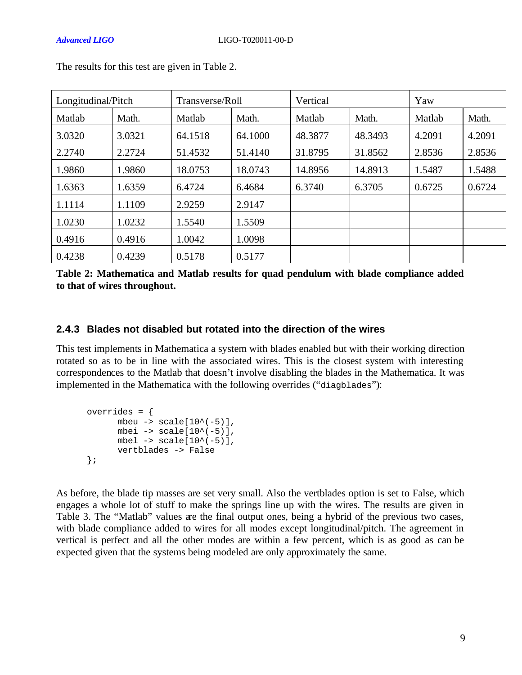| Longitudinal/Pitch |        |         | Transverse/Roll |         |         | Yaw    |        |  |  |
|--------------------|--------|---------|-----------------|---------|---------|--------|--------|--|--|
| Matlab             | Math.  | Matlab  | Math.           | Matlab  | Math.   | Matlab | Math.  |  |  |
| 3.0320             | 3.0321 | 64.1518 | 64.1000         | 48.3877 | 48.3493 | 4.2091 | 4.2091 |  |  |
| 2.2740             | 2.2724 | 51.4532 | 51.4140         | 31.8795 | 31.8562 | 2.8536 | 2.8536 |  |  |
| 1.9860             | 1.9860 | 18.0753 | 18.0743         | 14.8956 | 14.8913 | 1.5487 | 1.5488 |  |  |
| 1.6363             | 1.6359 | 6.4724  | 6.4684          | 6.3740  | 6.3705  | 0.6725 | 0.6724 |  |  |
| 1.1114             | 1.1109 | 2.9259  | 2.9147          |         |         |        |        |  |  |
| 1.0230             | 1.0232 | 1.5540  | 1.5509          |         |         |        |        |  |  |
| 0.4916             | 0.4916 | 1.0042  | 1.0098          |         |         |        |        |  |  |
| 0.4238             | 0.4239 | 0.5178  | 0.5177          |         |         |        |        |  |  |

The results for this test are given in Table 2.

| Table 2: Mathematica and Matlab results for quad pendulum with blade compliance added |  |  |  |  |  |
|---------------------------------------------------------------------------------------|--|--|--|--|--|
| to that of wires throughout.                                                          |  |  |  |  |  |

#### **2.4.3 Blades not disabled but rotated into the direction of the wires**

This test implements in Mathematica a system with blades enabled but with their working direction rotated so as to be in line with the associated wires. This is the closest system with interesting correspondences to the Matlab that doesn't involve disabling the blades in the Mathematica. It was implemented in the Mathematica with the following overrides ("diagblades"):

```
overrides = {
        mbeu -> scale[10^(-5)],
        mbei \rightarrow scale[10^{\wedge}(-5)],
        mbel \rightarrow scale[10^{\wedge}(-5)],
        vertblades -> False
};
```
As before, the blade tip masses are set very small. Also the vertblades option is set to False, which engages a whole lot of stuff to make the springs line up with the wires. The results are given in Table 3. The "Matlab" values are the final output ones, being a hybrid of the previous two cases, with blade compliance added to wires for all modes except longitudinal/pitch. The agreement in vertical is perfect and all the other modes are within a few percent, which is as good as can be expected given that the systems being modeled are only approximately the same.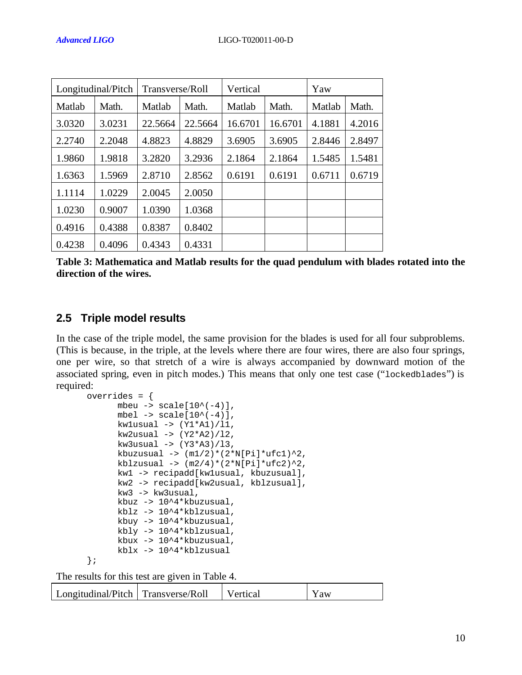| Longitudinal/Pitch |        | Transverse/Roll |         | Vertical        |         | Yaw    |        |
|--------------------|--------|-----------------|---------|-----------------|---------|--------|--------|
| Matlab             | Math.  | Matlab          | Math.   | Matlab<br>Math. |         | Matlab | Math.  |
| 3.0320             | 3.0231 | 22.5664         | 22.5664 | 16.6701         | 16.6701 | 4.1881 | 4.2016 |
| 2.2740             | 2.2048 | 4.8823          | 4.8829  | 3.6905          | 3.6905  | 2.8446 | 2.8497 |
| 1.9860             | 1.9818 | 3.2820          | 3.2936  | 2.1864          | 2.1864  | 1.5485 | 1.5481 |
| 1.6363             | 1.5969 | 2.8710          | 2.8562  | 0.6191          | 0.6191  | 0.6711 | 0.6719 |
| 1.1114             | 1.0229 | 2.0045          | 2.0050  |                 |         |        |        |
| 1.0230             | 0.9007 | 1.0390          | 1.0368  |                 |         |        |        |
| 0.4916             | 0.4388 | 0.8387          | 0.8402  |                 |         |        |        |
| 0.4238             | 0.4096 | 0.4343          | 0.4331  |                 |         |        |        |

**Table 3: Mathematica and Matlab results for the quad pendulum with blades rotated into the direction of the wires.**

### **2.5 Triple model results**

In the case of the triple model, the same provision for the blades is used for all four subproblems. (This is because, in the triple, at the levels where there are four wires, there are also four springs, one per wire, so that stretch of a wire is always accompanied by downward motion of the associated spring, even in pitch modes.) This means that only one test case ("lockedblades") is required:

```
overrides = {
      mbeu -> scale[10^(-4)],
      mbel \rightarrow scale[10^{\wedge}(-4)],
      kwlusual -> (Y1*A1)/11,
      kw2usual \rightarrow (Y2*A2)/12,
      kw3usual -> (Y3*A3)/l3,
      kbuzusual \rightarrow (m1/2)*(2*N[Pi]*ufc1)^2,
      kblzusual \rightarrow (m2/4)*(2*N[Pi]*ufc2)^2,
      kw1 -> recipadd[kw1usual, kbuzusual],
      kw2 -> recipadd[kw2usual, kblzusual],
      kw3 -> kw3usual,
      kbuz -> 10^4*kbuzusual,
      kblz -> 10^4*kblzusual,
      kbuy -> 10^4*kbuzusual,
      kbly -> 10^4*kblzusual,
      kbux -> 10^4*kbuzusual,
      kblx -> 10^4*kblzusual
};
```
The results for this test are given in Table 4.

| Longitudinal/Pitch   Transverse/Roll |  | Vertical | Y aw |
|--------------------------------------|--|----------|------|
|--------------------------------------|--|----------|------|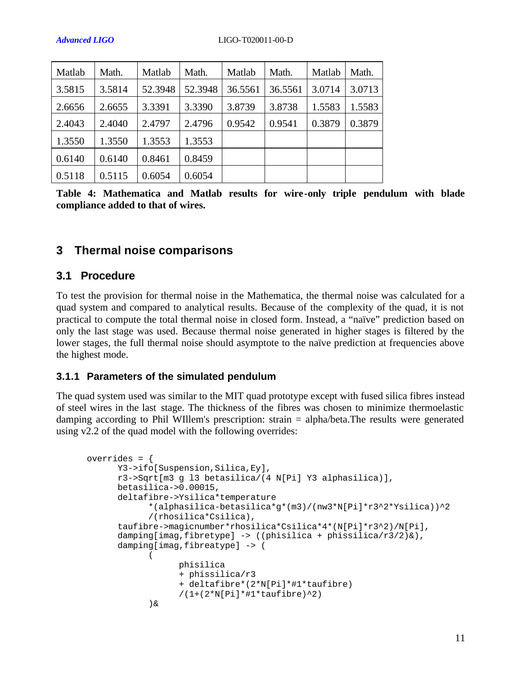| Matlab | Math.  | Matlab  | Math.   | Matlab  | Math.   | Matlab | Math.  |
|--------|--------|---------|---------|---------|---------|--------|--------|
| 3.5815 | 3.5814 | 52.3948 | 52.3948 | 36.5561 | 36.5561 | 3.0714 | 3.0713 |
| 2.6656 | 2.6655 | 3.3391  | 3.3390  | 3.8739  | 3.8738  | 1.5583 | 1.5583 |
| 2.4043 | 2.4040 | 2.4797  | 2.4796  | 0.9542  | 0.9541  | 0.3879 | 0.3879 |
| 1.3550 | 1.3550 | 1.3553  | 1.3553  |         |         |        |        |
| 0.6140 | 0.6140 | 0.8461  | 0.8459  |         |         |        |        |
| 0.5118 | 0.5115 | 0.6054  | 0.6054  |         |         |        |        |

**Table 4: Mathematica and Matlab results for wire-only triple pendulum with blade compliance added to that of wires.**

# **3 Thermal noise comparisons**

#### **3.1 Procedure**

To test the provision for thermal noise in the Mathematica, the thermal noise was calculated for a quad system and compared to analytical results. Because of the complexity of the quad, it is not practical to compute the total thermal noise in closed form. Instead, a "naïve" prediction based on only the last stage was used. Because thermal noise generated in higher stages is filtered by the lower stages, the full thermal noise should asymptote to the naïve prediction at frequencies above the highest mode.

#### **3.1.1 Parameters of the simulated pendulum**

The quad system used was similar to the MIT quad prototype except with fused silica fibres instead of steel wires in the last stage. The thickness of the fibres was chosen to minimize thermoelastic damping according to Phil WIllem's prescription: strain = alpha/beta.The results were generated using v2.2 of the quad model with the following overrides:

```
overrides = {
      Y3->ifo[Suspension,Silica,Ey],
      r3->Sqrt[m3 g l3 betasilica/(4 N[Pi] Y3 alphasilica)],
     betasilica->0.00015,
      deltafibre->Ysilica*temperature
            *(alphasilica-betasilica*g*(m3)/(nw3*N[Pi]*r3^2*Ysilica))^2
            /(rhosilica*Csilica),
      taufibre->magicnumber*rhosilica*Csilica*4*(N[Pi]*r3^2)/N[Pi],
      damping[imag,fibretype] -> ((phisilica + phissilica/r3/2)&),
      damping[imag,fibreatype] -> (
            (
                  phisilica 
                  + phissilica/r3 
                  + deltafibre*(2*N[Pi]*#1*taufibre)
                  /(1+(2*N[Pi]*#1*taufibre)^2)
            )&
```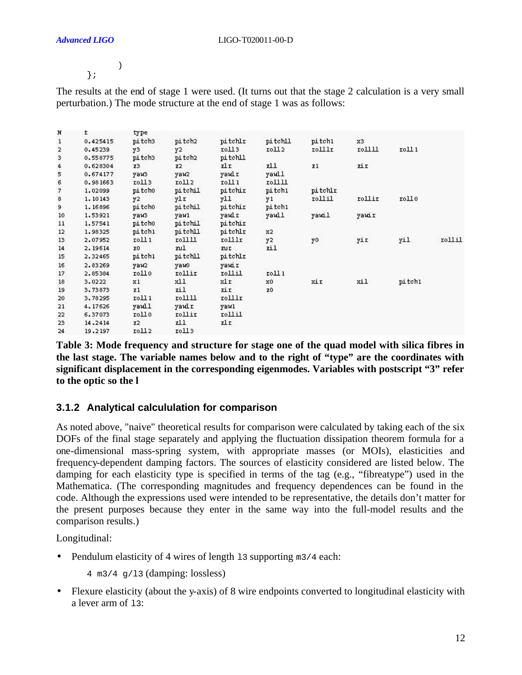# };

)

The results at the end of stage 1 were used. (It turns out that the stage 2 calculation is a very small perturbation.) The mode structure at the end of stage 1 was as follows:

| N             | t        | type              |                   |            |             |                |        |        |        |
|---------------|----------|-------------------|-------------------|------------|-------------|----------------|--------|--------|--------|
| 1             | 0.425415 | pitch3            | pitch2            | pitchlr    | pitch11     | pitch1         | x3     |        |        |
|               | 0.45239  | y3                | y2                | roll3      | 10112       | rolllr         | тоШЦ   | 1011   |        |
| $\frac{2}{3}$ | 0.558775 | pitch3            | pitch2            | pitchll    |             |                |        |        |        |
|               | 0.628304 | Z <sup>3</sup>    | Z <sub>2</sub>    | zl r       | zll.        | I <sub>1</sub> | zi r   |        |        |
| 4<br>5        | 0.674177 | уаиз              | yaw2              | yawlr      | yaull       |                |        |        |        |
| 6             | 0.981663 | roll3             | roll <sub>2</sub> | roll 1     | <b>гоШЦ</b> |                |        |        |        |
|               | 1.02099  | pitcho            | pitchil           | pitchir    | pitch1      | pitchlr        |        |        |        |
| 789           | 1.10143  | y2                | ylr               | yll        | y1          | rollil         | rollir | roll0  |        |
|               | 1.16896  | pitcho            | pitchil           | pitchir    | pitch1      |                |        |        |        |
| 10            | 1.53921  | уаиЗ              | yawl              | yawlr      | yaull       | yawil          | yawir  |        |        |
| 11            | 1.57541  | pitch0            | pi tchil          | pitchir    |             |                |        |        |        |
| 12            | 1.98325  | pitch1            | pitchll           | pitchlr    | x2          | ne             |        |        |        |
| 13            | 2.07952  | roll 1            | roШШ              | rolllr     | y2          | y0             | yir    | yi1    | rollil |
| 14            | 2.19614  | z0                | zul               | <b>ZUI</b> | zil         |                |        |        |        |
| 15            | 2.32465  | pitch1            | pitchll           | pitchlr    |             |                |        |        |        |
| 16            | 2.83269  | уаи2              | уамо              | уаміг      |             |                |        |        |        |
| 17            | 2.85384  | rollo             | rollir            | rollil     | roll 1      |                |        |        |        |
| 18            | 3.0222   | x1                | x11               | xlr.       | x0          | xir            | xil    | pitch1 |        |
| 19            | 3.73873  | z1                | zil               | zir        | z0          |                |        |        |        |
| 20            | 3.78295  | roll 1            | rollll            | rolllr     |             |                |        |        |        |
| 21            | 4.17626  | yaull             | yaulr             | yawl       |             |                |        |        |        |
| 22            | 6.37073  | rollo             | rollir            | rollil     |             |                |        |        |        |
| 23            | 14.2414  | Z <sub>2</sub>    | zll               | zlr        |             |                |        |        |        |
| 24            | 19.2197  | roll <sub>2</sub> | roll3             |            |             |                |        |        |        |

**Table 3: Mode frequency and structure for stage one of the quad model with silica fibres in the last stage. The variable names below and to the right of "type" are the coordinates with significant displacement in the corresponding eigenmodes. Variables with postscript "3" refer to the optic so the l**

#### **3.1.2 Analytical calcululation for comparison**

As noted above, "naive" theoretical results for comparison were calculated by taking each of the six DOFs of the final stage separately and applying the fluctuation dissipation theorem formula for a one-dimensional mass-spring system, with appropriate masses (or MOIs), elasticities and frequency-dependent damping factors. The sources of elasticity considered are listed below. The damping for each elasticity type is specified in terms of the tag (e.g., "fibreatype") used in the Mathematica. (The corresponding magnitudes and frequency dependences can be found in the code. Although the expressions used were intended to be representative, the details don't matter for the present purposes because they enter in the same way into the full-model results and the comparison results.)

Longitudinal:

- Pendulum elasticity of 4 wires of length 13 supporting m3/4 each:
	- $4 \text{ m3/4}$  q/13 (damping: lossless)
- Flexure elasticity (about the y-axis) of 8 wire endpoints converted to longitudinal elasticity with a lever arm of 13: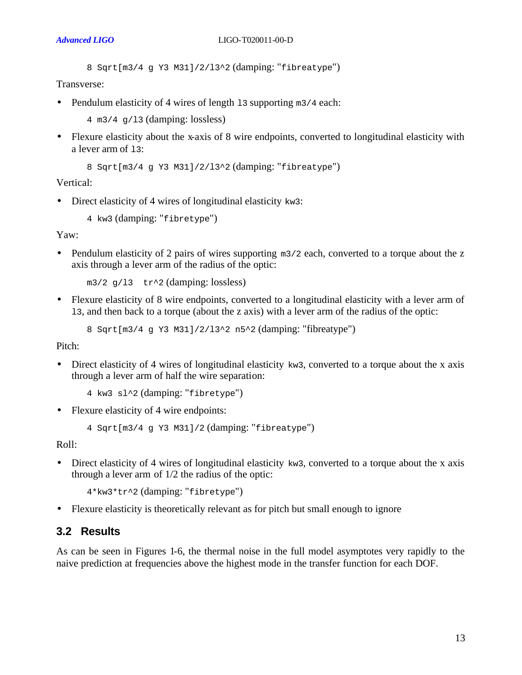8 Sqrt[m3/4 g Y3 M31]/2/l3^2 (damping: "fibreatype")

Transverse:

• Pendulum elasticity of 4 wires of length 13 supporting m3/4 each:

4 m3/4  $q/13$  (damping: lossless)

• Flexure elasticity about the x-axis of 8 wire endpoints, converted to longitudinal elasticity with a lever arm of 13:

```
8 Sqrt[m3/4 g Y3 M31]/2/l3^2 (damping: "fibreatype")
```
Vertical:

• Direct elasticity of 4 wires of longitudinal elasticity kw3:

4 kw3 (damping: "fibretype")

Yaw:

• Pendulum elasticity of 2 pairs of wires supporting m3/2 each, converted to a torque about the z axis through a lever arm of the radius of the optic:

 $m3/2$  q/13 tr<sup>^2</sup> (damping: lossless)

• Flexure elasticity of 8 wire endpoints, converted to a longitudinal elasticity with a lever arm of l3, and then back to a torque (about the z axis) with a lever arm of the radius of the optic:

8 Sqrt[m3/4 g Y3 M31]/2/l3^2 n5^2 (damping: "fibreatype")

Pitch:

• Direct elasticity of 4 wires of longitudinal elasticity  $kw3$ , converted to a torque about the x axis through a lever arm of half the wire separation:

4 kw3 sl^2 (damping: "fibretype")

• Flexure elasticity of 4 wire endpoints:

4 Sqrt[m3/4 g Y3 M31]/2 (damping: "fibreatype")

Roll:

• Direct elasticity of 4 wires of longitudinal elasticity kw3, converted to a torque about the x axis through a lever arm of 1/2 the radius of the optic:

4\*kw3\*tr^2 (damping: "fibretype")

• Flexure elasticity is theoretically relevant as for pitch but small enough to ignore

#### **3.2 Results**

As can be seen in Figures 1-6, the thermal noise in the full model asymptotes very rapidly to the naive prediction at frequencies above the highest mode in the transfer function for each DOF.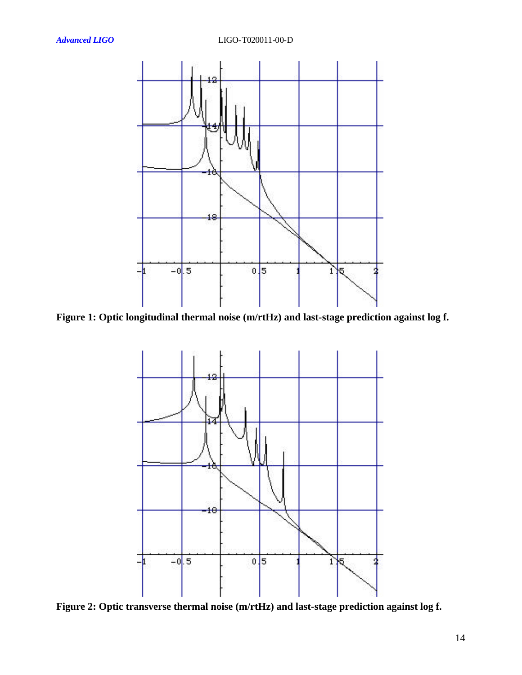

**Figure 1: Optic longitudinal thermal noise (m/rtHz) and last-stage prediction against log f.**



**Figure 2: Optic transverse thermal noise (m/rtHz) and last-stage prediction against log f.**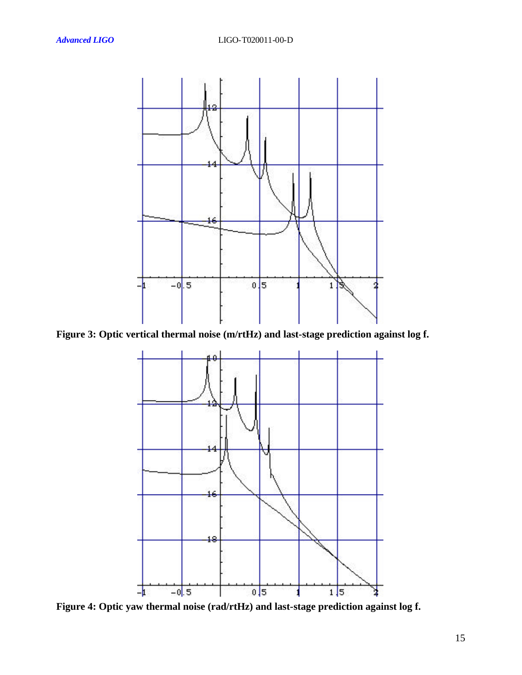

**Figure 3: Optic vertical thermal noise (m/rtHz) and last-stage prediction against log f.**



**Figure 4: Optic yaw thermal noise (rad/rtHz) and last-stage prediction against log f.**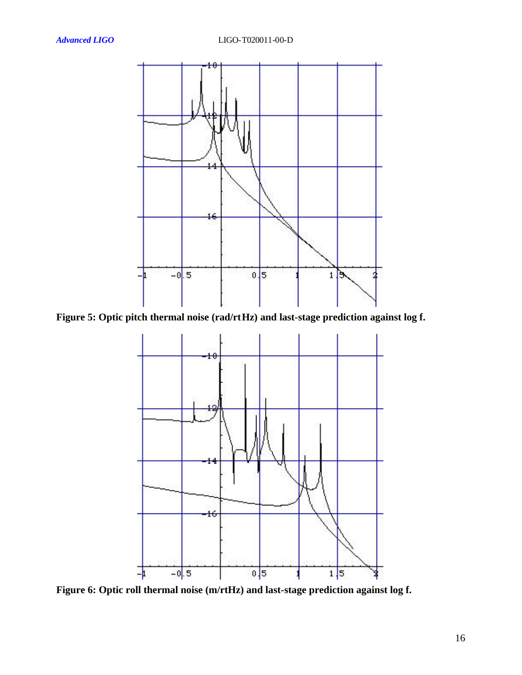

**Figure 5: Optic pitch thermal noise (rad/rtHz) and last-stage prediction against log f.**



**Figure 6: Optic roll thermal noise (m/rtHz) and last-stage prediction against log f.**